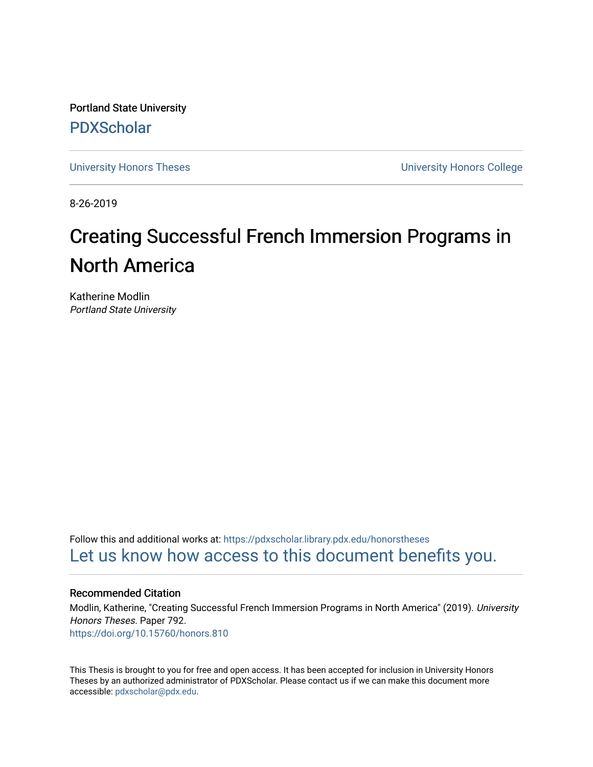Portland State University [PDXScholar](https://pdxscholar.library.pdx.edu/)

[University Honors Theses](https://pdxscholar.library.pdx.edu/honorstheses) [University Honors College](https://pdxscholar.library.pdx.edu/honors) 

8-26-2019

# Creating Successful French Immersion Programs in North America

Katherine Modlin Portland State University

Follow this and additional works at: [https://pdxscholar.library.pdx.edu/honorstheses](https://pdxscholar.library.pdx.edu/honorstheses?utm_source=pdxscholar.library.pdx.edu%2Fhonorstheses%2F792&utm_medium=PDF&utm_campaign=PDFCoverPages)  [Let us know how access to this document benefits you.](http://library.pdx.edu/services/pdxscholar-services/pdxscholar-feedback/) 

#### Recommended Citation

Modlin, Katherine, "Creating Successful French Immersion Programs in North America" (2019). University Honors Theses. Paper 792. <https://doi.org/10.15760/honors.810>

This Thesis is brought to you for free and open access. It has been accepted for inclusion in University Honors Theses by an authorized administrator of PDXScholar. Please contact us if we can make this document more accessible: [pdxscholar@pdx.edu.](mailto:pdxscholar@pdx.edu)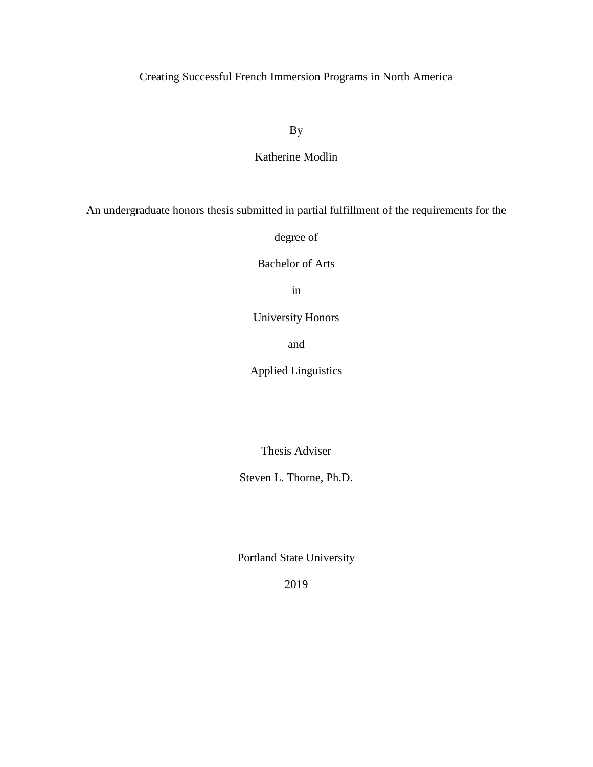## Creating Successful French Immersion Programs in North America

By

### Katherine Modlin

An undergraduate honors thesis submitted in partial fulfillment of the requirements for the

degree of

Bachelor of Arts

in

University Honors

and

Applied Linguistics

Thesis Adviser

Steven L. Thorne, Ph.D.

Portland State University

2019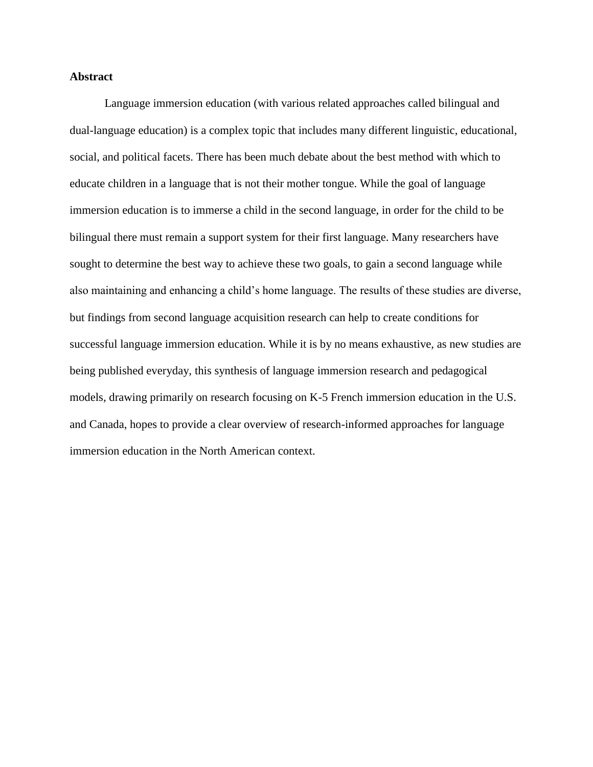#### **Abstract**

Language immersion education (with various related approaches called bilingual and dual-language education) is a complex topic that includes many different linguistic, educational, social, and political facets. There has been much debate about the best method with which to educate children in a language that is not their mother tongue. While the goal of language immersion education is to immerse a child in the second language, in order for the child to be bilingual there must remain a support system for their first language. Many researchers have sought to determine the best way to achieve these two goals, to gain a second language while also maintaining and enhancing a child's home language. The results of these studies are diverse, but findings from second language acquisition research can help to create conditions for successful language immersion education. While it is by no means exhaustive, as new studies are being published everyday, this synthesis of language immersion research and pedagogical models, drawing primarily on research focusing on K-5 French immersion education in the U.S. and Canada, hopes to provide a clear overview of research-informed approaches for language immersion education in the North American context.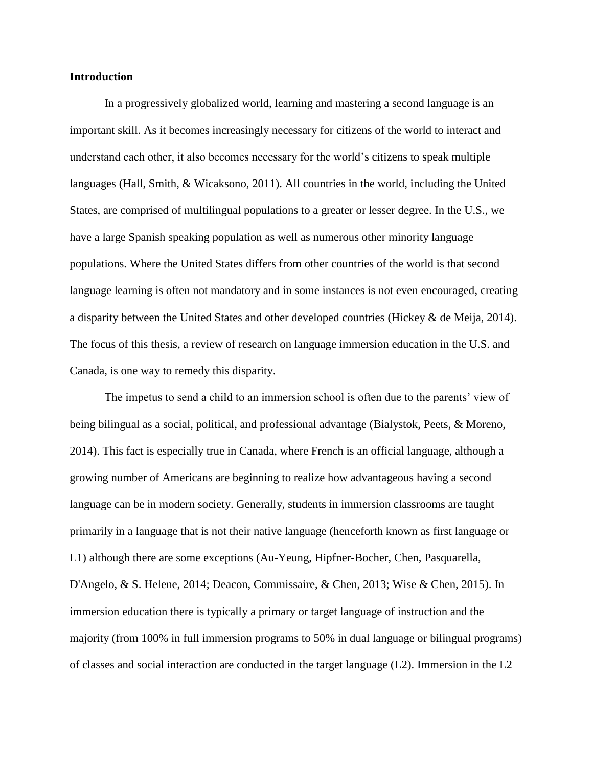#### **Introduction**

In a progressively globalized world, learning and mastering a second language is an important skill. As it becomes increasingly necessary for citizens of the world to interact and understand each other, it also becomes necessary for the world's citizens to speak multiple languages (Hall, Smith, & Wicaksono, 2011). All countries in the world, including the United States, are comprised of multilingual populations to a greater or lesser degree. In the U.S., we have a large Spanish speaking population as well as numerous other minority language populations. Where the United States differs from other countries of the world is that second language learning is often not mandatory and in some instances is not even encouraged, creating a disparity between the United States and other developed countries (Hickey & de Meija, 2014). The focus of this thesis, a review of research on language immersion education in the U.S. and Canada, is one way to remedy this disparity.

The impetus to send a child to an immersion school is often due to the parents' view of being bilingual as a social, political, and professional advantage (Bialystok, Peets, & Moreno, 2014). This fact is especially true in Canada, where French is an official language, although a growing number of Americans are beginning to realize how advantageous having a second language can be in modern society. Generally, students in immersion classrooms are taught primarily in a language that is not their native language (henceforth known as first language or L1) although there are some exceptions (Au-Yeung, Hipfner-Bocher, Chen, Pasquarella, D'Angelo, & S. Helene, 2014; Deacon, Commissaire, & Chen, 2013; Wise & Chen, 2015). In immersion education there is typically a primary or target language of instruction and the majority (from 100% in full immersion programs to 50% in dual language or bilingual programs) of classes and social interaction are conducted in the target language (L2). Immersion in the L2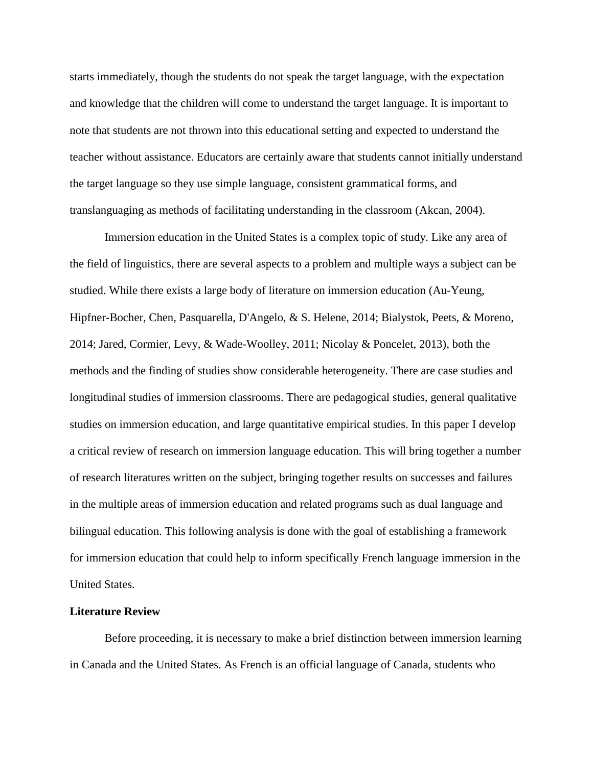starts immediately, though the students do not speak the target language, with the expectation and knowledge that the children will come to understand the target language. It is important to note that students are not thrown into this educational setting and expected to understand the teacher without assistance. Educators are certainly aware that students cannot initially understand the target language so they use simple language, consistent grammatical forms, and translanguaging as methods of facilitating understanding in the classroom (Akcan, 2004).

Immersion education in the United States is a complex topic of study. Like any area of the field of linguistics, there are several aspects to a problem and multiple ways a subject can be studied. While there exists a large body of literature on immersion education (Au-Yeung, Hipfner-Bocher, Chen, Pasquarella, D'Angelo, & S. Helene, 2014; Bialystok, Peets, & Moreno, 2014; Jared, Cormier, Levy, & Wade-Woolley, 2011; Nicolay & Poncelet, 2013), both the methods and the finding of studies show considerable heterogeneity. There are case studies and longitudinal studies of immersion classrooms. There are pedagogical studies, general qualitative studies on immersion education, and large quantitative empirical studies. In this paper I develop a critical review of research on immersion language education. This will bring together a number of research literatures written on the subject, bringing together results on successes and failures in the multiple areas of immersion education and related programs such as dual language and bilingual education. This following analysis is done with the goal of establishing a framework for immersion education that could help to inform specifically French language immersion in the United States.

#### **Literature Review**

Before proceeding, it is necessary to make a brief distinction between immersion learning in Canada and the United States. As French is an official language of Canada, students who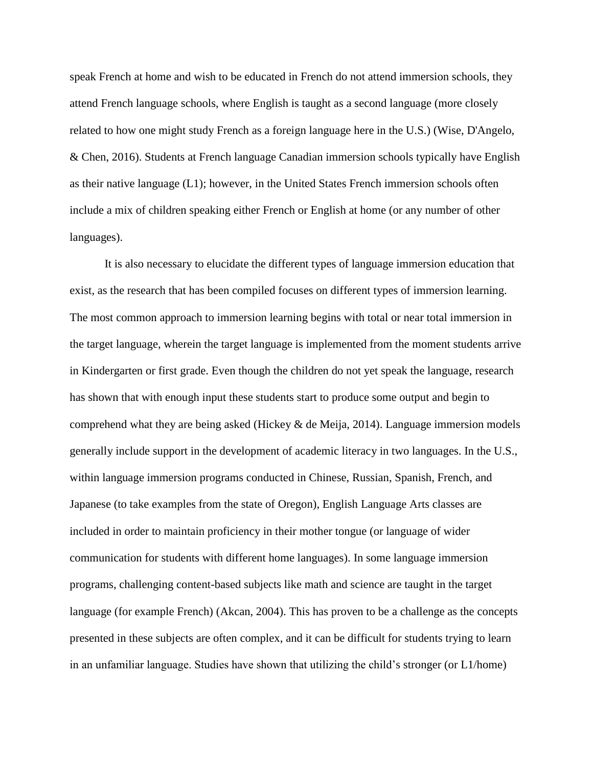speak French at home and wish to be educated in French do not attend immersion schools, they attend French language schools, where English is taught as a second language (more closely related to how one might study French as a foreign language here in the U.S.) (Wise, D'Angelo, & Chen, 2016). Students at French language Canadian immersion schools typically have English as their native language  $(L1)$ ; however, in the United States French immersion schools often include a mix of children speaking either French or English at home (or any number of other languages).

It is also necessary to elucidate the different types of language immersion education that exist, as the research that has been compiled focuses on different types of immersion learning. The most common approach to immersion learning begins with total or near total immersion in the target language, wherein the target language is implemented from the moment students arrive in Kindergarten or first grade. Even though the children do not yet speak the language, research has shown that with enough input these students start to produce some output and begin to comprehend what they are being asked (Hickey  $\&$  de Meija, 2014). Language immersion models generally include support in the development of academic literacy in two languages. In the U.S., within language immersion programs conducted in Chinese, Russian, Spanish, French, and Japanese (to take examples from the state of Oregon), English Language Arts classes are included in order to maintain proficiency in their mother tongue (or language of wider communication for students with different home languages). In some language immersion programs, challenging content-based subjects like math and science are taught in the target language (for example French) (Akcan, 2004). This has proven to be a challenge as the concepts presented in these subjects are often complex, and it can be difficult for students trying to learn in an unfamiliar language. Studies have shown that utilizing the child's stronger (or L1/home)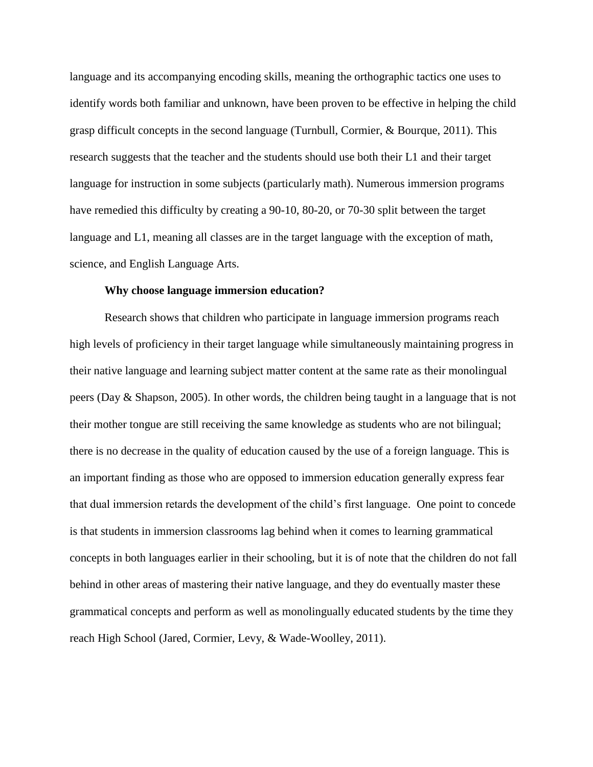language and its accompanying encoding skills, meaning the orthographic tactics one uses to identify words both familiar and unknown, have been proven to be effective in helping the child grasp difficult concepts in the second language (Turnbull, Cormier, & Bourque, 2011). This research suggests that the teacher and the students should use both their L1 and their target language for instruction in some subjects (particularly math). Numerous immersion programs have remedied this difficulty by creating a 90-10, 80-20, or 70-30 split between the target language and L1, meaning all classes are in the target language with the exception of math, science, and English Language Arts.

#### **Why choose language immersion education?**

Research shows that children who participate in language immersion programs reach high levels of proficiency in their target language while simultaneously maintaining progress in their native language and learning subject matter content at the same rate as their monolingual peers (Day & Shapson, 2005). In other words, the children being taught in a language that is not their mother tongue are still receiving the same knowledge as students who are not bilingual; there is no decrease in the quality of education caused by the use of a foreign language. This is an important finding as those who are opposed to immersion education generally express fear that dual immersion retards the development of the child's first language. One point to concede is that students in immersion classrooms lag behind when it comes to learning grammatical concepts in both languages earlier in their schooling, but it is of note that the children do not fall behind in other areas of mastering their native language, and they do eventually master these grammatical concepts and perform as well as monolingually educated students by the time they reach High School (Jared, Cormier, Levy, & Wade-Woolley, 2011).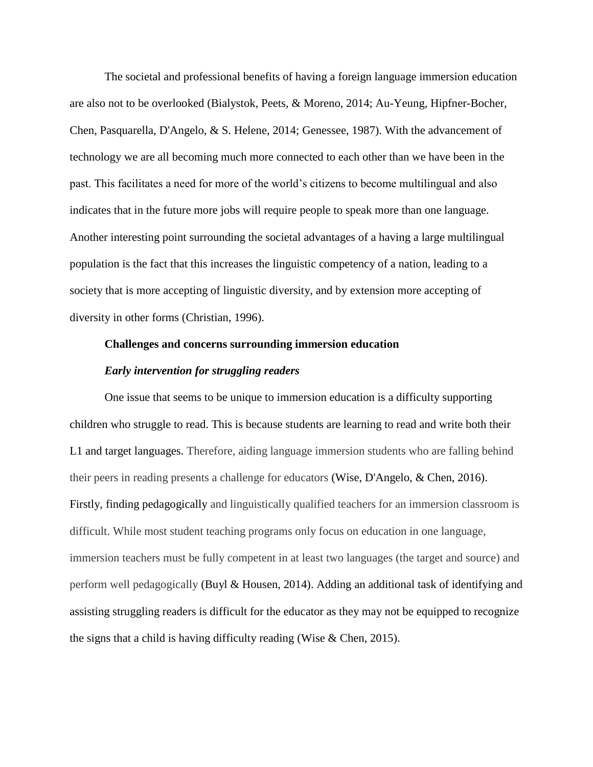The societal and professional benefits of having a foreign language immersion education are also not to be overlooked (Bialystok, Peets, & Moreno, 2014; Au-Yeung, Hipfner-Bocher, Chen, Pasquarella, D'Angelo, & S. Helene, 2014; Genessee, 1987). With the advancement of technology we are all becoming much more connected to each other than we have been in the past. This facilitates a need for more of the world's citizens to become multilingual and also indicates that in the future more jobs will require people to speak more than one language. Another interesting point surrounding the societal advantages of a having a large multilingual population is the fact that this increases the linguistic competency of a nation, leading to a society that is more accepting of linguistic diversity, and by extension more accepting of diversity in other forms (Christian, 1996).

#### **Challenges and concerns surrounding immersion education**

#### *Early intervention for struggling readers*

One issue that seems to be unique to immersion education is a difficulty supporting children who struggle to read. This is because students are learning to read and write both their L1 and target languages. Therefore, aiding language immersion students who are falling behind their peers in reading presents a challenge for educators (Wise, D'Angelo, & Chen, 2016). Firstly, finding pedagogically and linguistically qualified teachers for an immersion classroom is difficult. While most student teaching programs only focus on education in one language, immersion teachers must be fully competent in at least two languages (the target and source) and perform well pedagogically (Buyl & Housen, 2014). Adding an additional task of identifying and assisting struggling readers is difficult for the educator as they may not be equipped to recognize the signs that a child is having difficulty reading (Wise & Chen, 2015).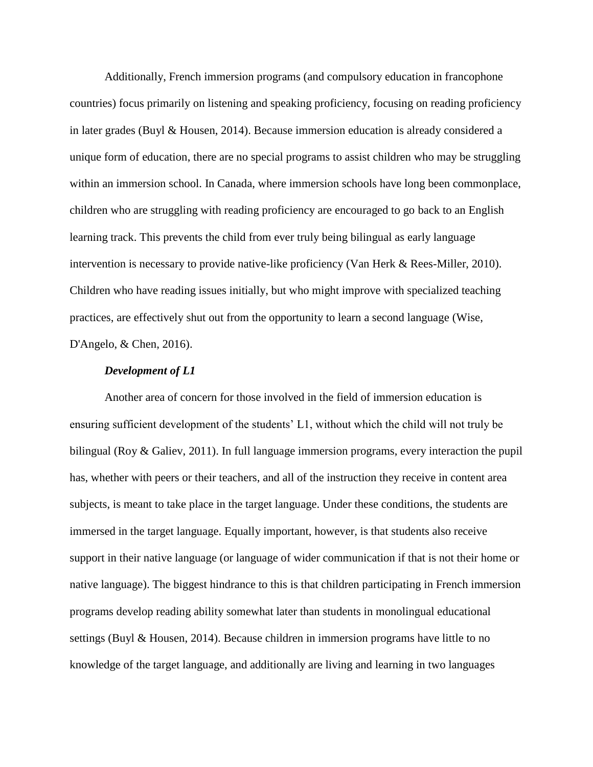Additionally, French immersion programs (and compulsory education in francophone countries) focus primarily on listening and speaking proficiency, focusing on reading proficiency in later grades (Buyl & Housen, 2014). Because immersion education is already considered a unique form of education, there are no special programs to assist children who may be struggling within an immersion school. In Canada, where immersion schools have long been commonplace, children who are struggling with reading proficiency are encouraged to go back to an English learning track. This prevents the child from ever truly being bilingual as early language intervention is necessary to provide native-like proficiency (Van Herk & Rees-Miller, 2010). Children who have reading issues initially, but who might improve with specialized teaching practices, are effectively shut out from the opportunity to learn a second language (Wise, D'Angelo, & Chen, 2016).

#### *Development of L1*

Another area of concern for those involved in the field of immersion education is ensuring sufficient development of the students' L1, without which the child will not truly be bilingual (Roy & Galiev, 2011). In full language immersion programs, every interaction the pupil has, whether with peers or their teachers, and all of the instruction they receive in content area subjects, is meant to take place in the target language. Under these conditions, the students are immersed in the target language. Equally important, however, is that students also receive support in their native language (or language of wider communication if that is not their home or native language). The biggest hindrance to this is that children participating in French immersion programs develop reading ability somewhat later than students in monolingual educational settings (Buyl & Housen, 2014). Because children in immersion programs have little to no knowledge of the target language, and additionally are living and learning in two languages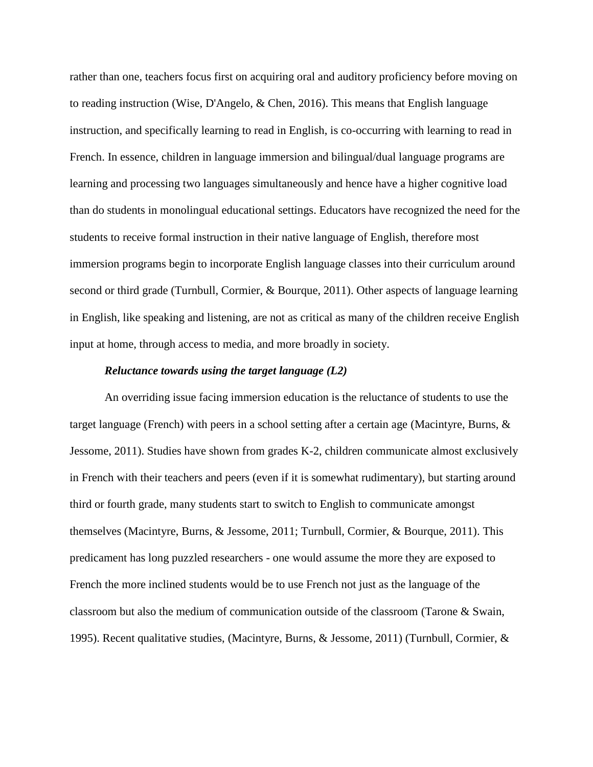rather than one, teachers focus first on acquiring oral and auditory proficiency before moving on to reading instruction (Wise, D'Angelo, & Chen, 2016). This means that English language instruction, and specifically learning to read in English, is co-occurring with learning to read in French. In essence, children in language immersion and bilingual/dual language programs are learning and processing two languages simultaneously and hence have a higher cognitive load than do students in monolingual educational settings. Educators have recognized the need for the students to receive formal instruction in their native language of English, therefore most immersion programs begin to incorporate English language classes into their curriculum around second or third grade (Turnbull, Cormier, & Bourque, 2011). Other aspects of language learning in English, like speaking and listening, are not as critical as many of the children receive English input at home, through access to media, and more broadly in society.

#### *Reluctance towards using the target language (L2)*

An overriding issue facing immersion education is the reluctance of students to use the target language (French) with peers in a school setting after a certain age (Macintyre, Burns, & Jessome, 2011). Studies have shown from grades K-2, children communicate almost exclusively in French with their teachers and peers (even if it is somewhat rudimentary), but starting around third or fourth grade, many students start to switch to English to communicate amongst themselves (Macintyre, Burns, & Jessome, 2011; Turnbull, Cormier, & Bourque, 2011). This predicament has long puzzled researchers - one would assume the more they are exposed to French the more inclined students would be to use French not just as the language of the classroom but also the medium of communication outside of the classroom (Tarone & Swain, 1995). Recent qualitative studies, (Macintyre, Burns, & Jessome, 2011) (Turnbull, Cormier, &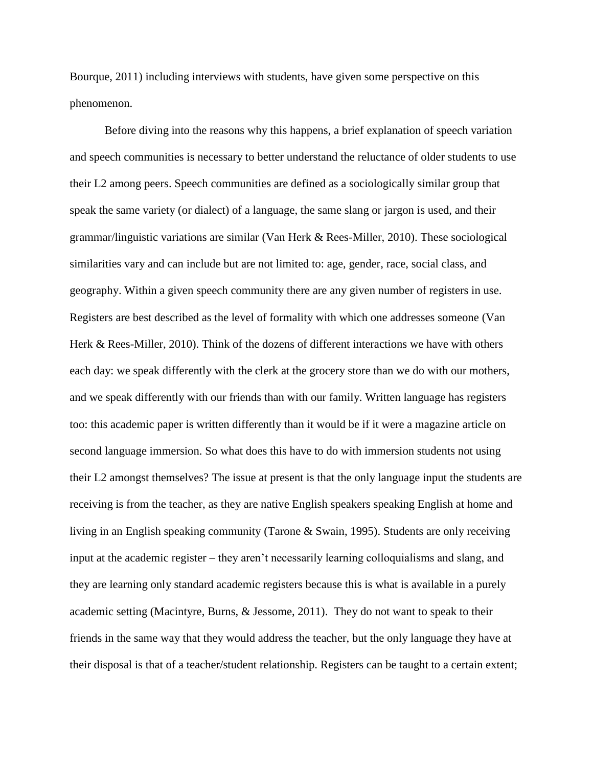Bourque, 2011) including interviews with students, have given some perspective on this phenomenon.

Before diving into the reasons why this happens, a brief explanation of speech variation and speech communities is necessary to better understand the reluctance of older students to use their L2 among peers. Speech communities are defined as a sociologically similar group that speak the same variety (or dialect) of a language, the same slang or jargon is used, and their grammar/linguistic variations are similar (Van Herk & Rees-Miller, 2010). These sociological similarities vary and can include but are not limited to: age, gender, race, social class, and geography. Within a given speech community there are any given number of registers in use. Registers are best described as the level of formality with which one addresses someone (Van Herk & Rees-Miller, 2010). Think of the dozens of different interactions we have with others each day: we speak differently with the clerk at the grocery store than we do with our mothers, and we speak differently with our friends than with our family. Written language has registers too: this academic paper is written differently than it would be if it were a magazine article on second language immersion. So what does this have to do with immersion students not using their L2 amongst themselves? The issue at present is that the only language input the students are receiving is from the teacher, as they are native English speakers speaking English at home and living in an English speaking community (Tarone & Swain, 1995). Students are only receiving input at the academic register – they aren't necessarily learning colloquialisms and slang, and they are learning only standard academic registers because this is what is available in a purely academic setting (Macintyre, Burns, & Jessome, 2011). They do not want to speak to their friends in the same way that they would address the teacher, but the only language they have at their disposal is that of a teacher/student relationship. Registers can be taught to a certain extent;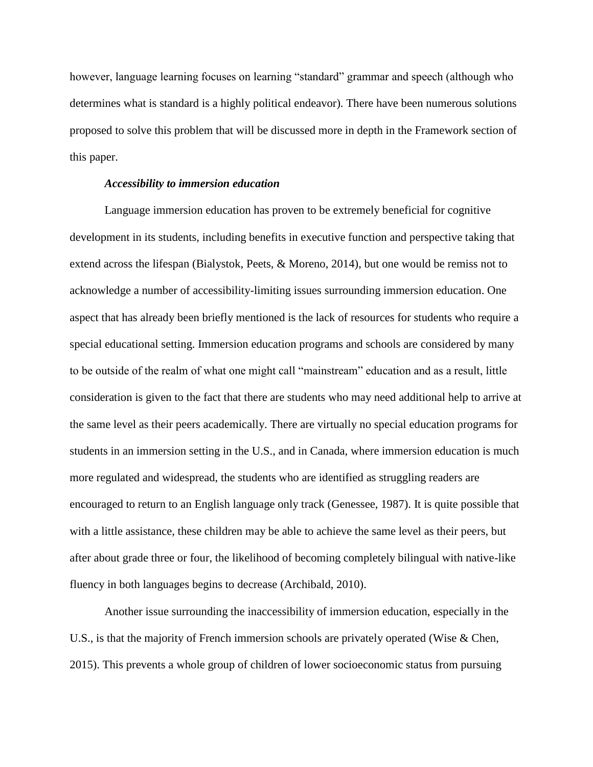however, language learning focuses on learning "standard" grammar and speech (although who determines what is standard is a highly political endeavor). There have been numerous solutions proposed to solve this problem that will be discussed more in depth in the Framework section of this paper.

#### *Accessibility to immersion education*

Language immersion education has proven to be extremely beneficial for cognitive development in its students, including benefits in executive function and perspective taking that extend across the lifespan (Bialystok, Peets, & Moreno, 2014), but one would be remiss not to acknowledge a number of accessibility-limiting issues surrounding immersion education. One aspect that has already been briefly mentioned is the lack of resources for students who require a special educational setting. Immersion education programs and schools are considered by many to be outside of the realm of what one might call "mainstream" education and as a result, little consideration is given to the fact that there are students who may need additional help to arrive at the same level as their peers academically. There are virtually no special education programs for students in an immersion setting in the U.S., and in Canada, where immersion education is much more regulated and widespread, the students who are identified as struggling readers are encouraged to return to an English language only track (Genessee, 1987). It is quite possible that with a little assistance, these children may be able to achieve the same level as their peers, but after about grade three or four, the likelihood of becoming completely bilingual with native-like fluency in both languages begins to decrease (Archibald, 2010).

Another issue surrounding the inaccessibility of immersion education, especially in the U.S., is that the majority of French immersion schools are privately operated (Wise & Chen, 2015). This prevents a whole group of children of lower socioeconomic status from pursuing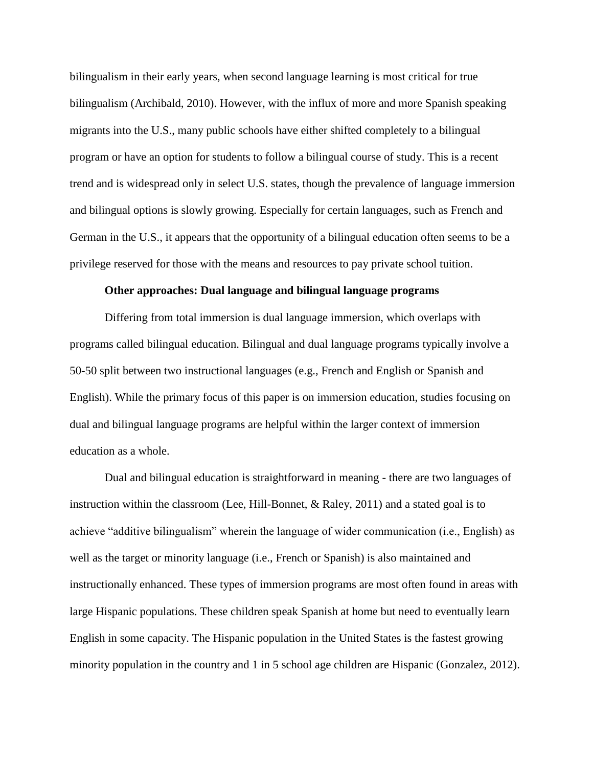bilingualism in their early years, when second language learning is most critical for true bilingualism (Archibald, 2010). However, with the influx of more and more Spanish speaking migrants into the U.S., many public schools have either shifted completely to a bilingual program or have an option for students to follow a bilingual course of study. This is a recent trend and is widespread only in select U.S. states, though the prevalence of language immersion and bilingual options is slowly growing. Especially for certain languages, such as French and German in the U.S., it appears that the opportunity of a bilingual education often seems to be a privilege reserved for those with the means and resources to pay private school tuition.

#### **Other approaches: Dual language and bilingual language programs**

Differing from total immersion is dual language immersion, which overlaps with programs called bilingual education. Bilingual and dual language programs typically involve a 50-50 split between two instructional languages (e.g., French and English or Spanish and English). While the primary focus of this paper is on immersion education, studies focusing on dual and bilingual language programs are helpful within the larger context of immersion education as a whole.

Dual and bilingual education is straightforward in meaning - there are two languages of instruction within the classroom (Lee, Hill-Bonnet, & Raley, 2011) and a stated goal is to achieve "additive bilingualism" wherein the language of wider communication (i.e., English) as well as the target or minority language (i.e., French or Spanish) is also maintained and instructionally enhanced. These types of immersion programs are most often found in areas with large Hispanic populations. These children speak Spanish at home but need to eventually learn English in some capacity. The Hispanic population in the United States is the fastest growing minority population in the country and 1 in 5 school age children are Hispanic (Gonzalez, 2012).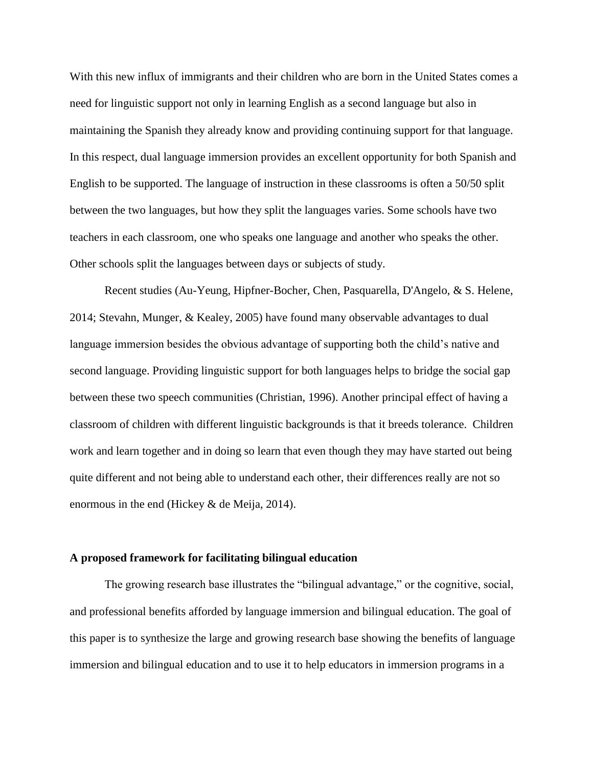With this new influx of immigrants and their children who are born in the United States comes a need for linguistic support not only in learning English as a second language but also in maintaining the Spanish they already know and providing continuing support for that language. In this respect, dual language immersion provides an excellent opportunity for both Spanish and English to be supported. The language of instruction in these classrooms is often a 50/50 split between the two languages, but how they split the languages varies. Some schools have two teachers in each classroom, one who speaks one language and another who speaks the other. Other schools split the languages between days or subjects of study.

Recent studies (Au-Yeung, Hipfner-Bocher, Chen, Pasquarella, D'Angelo, & S. Helene, 2014; Stevahn, Munger, & Kealey, 2005) have found many observable advantages to dual language immersion besides the obvious advantage of supporting both the child's native and second language. Providing linguistic support for both languages helps to bridge the social gap between these two speech communities (Christian, 1996). Another principal effect of having a classroom of children with different linguistic backgrounds is that it breeds tolerance. Children work and learn together and in doing so learn that even though they may have started out being quite different and not being able to understand each other, their differences really are not so enormous in the end (Hickey & de Meija, 2014).

#### **A proposed framework for facilitating bilingual education**

The growing research base illustrates the "bilingual advantage," or the cognitive, social, and professional benefits afforded by language immersion and bilingual education. The goal of this paper is to synthesize the large and growing research base showing the benefits of language immersion and bilingual education and to use it to help educators in immersion programs in a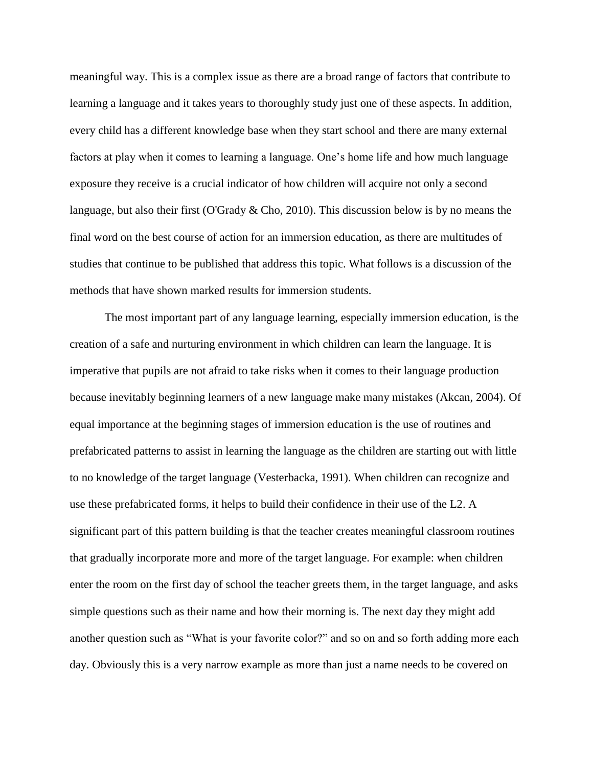meaningful way. This is a complex issue as there are a broad range of factors that contribute to learning a language and it takes years to thoroughly study just one of these aspects. In addition, every child has a different knowledge base when they start school and there are many external factors at play when it comes to learning a language. One's home life and how much language exposure they receive is a crucial indicator of how children will acquire not only a second language, but also their first (O'Grady & Cho, 2010). This discussion below is by no means the final word on the best course of action for an immersion education, as there are multitudes of studies that continue to be published that address this topic. What follows is a discussion of the methods that have shown marked results for immersion students.

The most important part of any language learning, especially immersion education, is the creation of a safe and nurturing environment in which children can learn the language. It is imperative that pupils are not afraid to take risks when it comes to their language production because inevitably beginning learners of a new language make many mistakes (Akcan, 2004). Of equal importance at the beginning stages of immersion education is the use of routines and prefabricated patterns to assist in learning the language as the children are starting out with little to no knowledge of the target language (Vesterbacka, 1991). When children can recognize and use these prefabricated forms, it helps to build their confidence in their use of the L2. A significant part of this pattern building is that the teacher creates meaningful classroom routines that gradually incorporate more and more of the target language. For example: when children enter the room on the first day of school the teacher greets them, in the target language, and asks simple questions such as their name and how their morning is. The next day they might add another question such as "What is your favorite color?" and so on and so forth adding more each day. Obviously this is a very narrow example as more than just a name needs to be covered on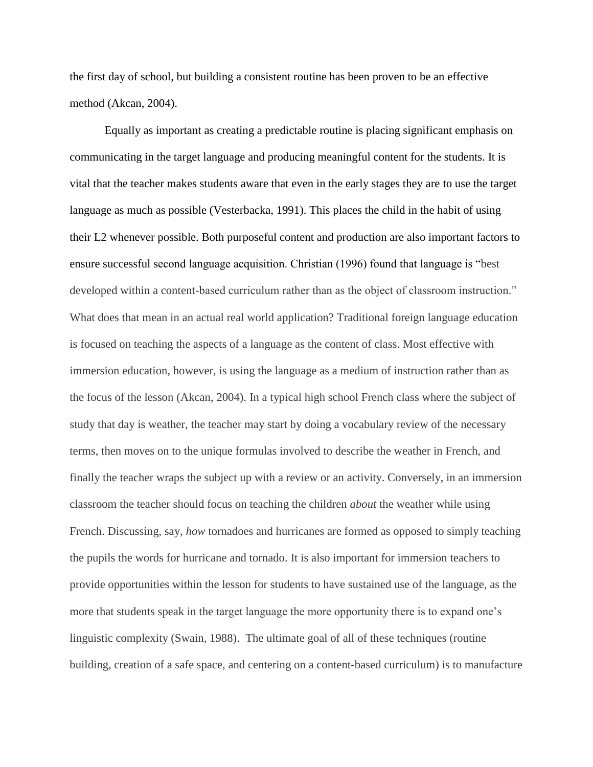the first day of school, but building a consistent routine has been proven to be an effective method (Akcan, 2004).

Equally as important as creating a predictable routine is placing significant emphasis on communicating in the target language and producing meaningful content for the students. It is vital that the teacher makes students aware that even in the early stages they are to use the target language as much as possible (Vesterbacka, 1991). This places the child in the habit of using their L2 whenever possible. Both purposeful content and production are also important factors to ensure successful second language acquisition. Christian (1996) found that language is "best developed within a content-based curriculum rather than as the object of classroom instruction." What does that mean in an actual real world application? Traditional foreign language education is focused on teaching the aspects of a language as the content of class. Most effective with immersion education, however, is using the language as a medium of instruction rather than as the focus of the lesson (Akcan, 2004). In a typical high school French class where the subject of study that day is weather, the teacher may start by doing a vocabulary review of the necessary terms, then moves on to the unique formulas involved to describe the weather in French, and finally the teacher wraps the subject up with a review or an activity. Conversely, in an immersion classroom the teacher should focus on teaching the children *about* the weather while using French. Discussing, say, *how* tornadoes and hurricanes are formed as opposed to simply teaching the pupils the words for hurricane and tornado. It is also important for immersion teachers to provide opportunities within the lesson for students to have sustained use of the language, as the more that students speak in the target language the more opportunity there is to expand one's linguistic complexity (Swain, 1988). The ultimate goal of all of these techniques (routine building, creation of a safe space, and centering on a content-based curriculum) is to manufacture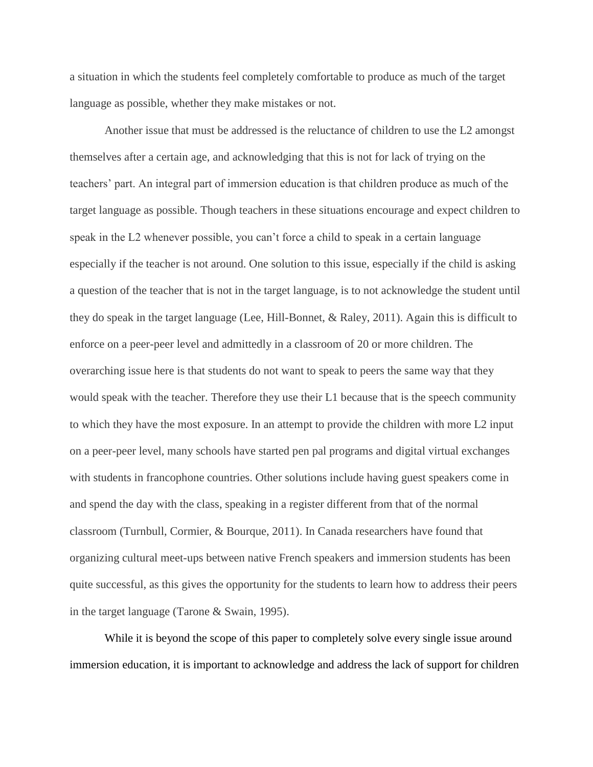a situation in which the students feel completely comfortable to produce as much of the target language as possible, whether they make mistakes or not.

Another issue that must be addressed is the reluctance of children to use the L2 amongst themselves after a certain age, and acknowledging that this is not for lack of trying on the teachers' part. An integral part of immersion education is that children produce as much of the target language as possible. Though teachers in these situations encourage and expect children to speak in the L2 whenever possible, you can't force a child to speak in a certain language especially if the teacher is not around. One solution to this issue, especially if the child is asking a question of the teacher that is not in the target language, is to not acknowledge the student until they do speak in the target language (Lee, Hill-Bonnet, & Raley, 2011). Again this is difficult to enforce on a peer-peer level and admittedly in a classroom of 20 or more children. The overarching issue here is that students do not want to speak to peers the same way that they would speak with the teacher. Therefore they use their L1 because that is the speech community to which they have the most exposure. In an attempt to provide the children with more L2 input on a peer-peer level, many schools have started pen pal programs and digital virtual exchanges with students in francophone countries. Other solutions include having guest speakers come in and spend the day with the class, speaking in a register different from that of the normal classroom (Turnbull, Cormier, & Bourque, 2011). In Canada researchers have found that organizing cultural meet-ups between native French speakers and immersion students has been quite successful, as this gives the opportunity for the students to learn how to address their peers in the target language (Tarone & Swain, 1995).

While it is beyond the scope of this paper to completely solve every single issue around immersion education, it is important to acknowledge and address the lack of support for children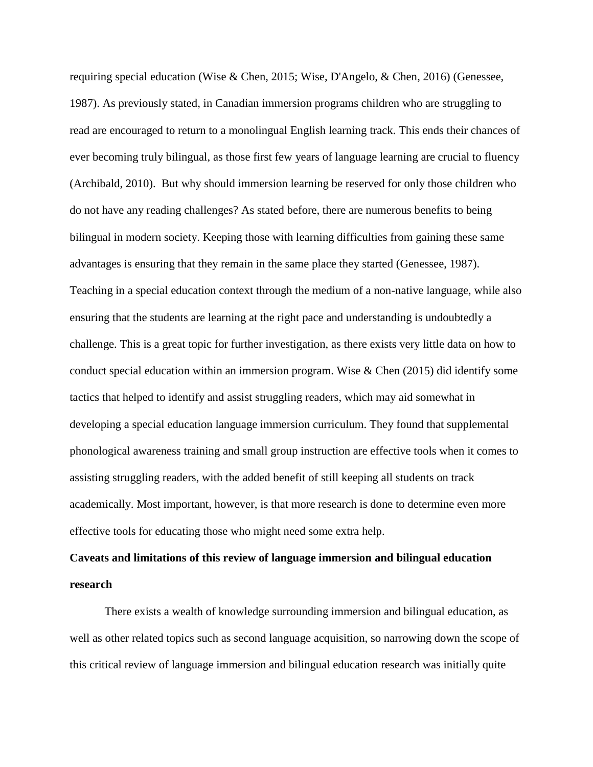requiring special education (Wise & Chen, 2015; Wise, D'Angelo, & Chen, 2016) (Genessee, 1987). As previously stated, in Canadian immersion programs children who are struggling to read are encouraged to return to a monolingual English learning track. This ends their chances of ever becoming truly bilingual, as those first few years of language learning are crucial to fluency (Archibald, 2010). But why should immersion learning be reserved for only those children who do not have any reading challenges? As stated before, there are numerous benefits to being bilingual in modern society. Keeping those with learning difficulties from gaining these same advantages is ensuring that they remain in the same place they started (Genessee, 1987). Teaching in a special education context through the medium of a non-native language, while also ensuring that the students are learning at the right pace and understanding is undoubtedly a challenge. This is a great topic for further investigation, as there exists very little data on how to conduct special education within an immersion program. Wise  $\&$  Chen (2015) did identify some tactics that helped to identify and assist struggling readers, which may aid somewhat in developing a special education language immersion curriculum. They found that supplemental phonological awareness training and small group instruction are effective tools when it comes to assisting struggling readers, with the added benefit of still keeping all students on track academically. Most important, however, is that more research is done to determine even more effective tools for educating those who might need some extra help.

# **Caveats and limitations of this review of language immersion and bilingual education research**

There exists a wealth of knowledge surrounding immersion and bilingual education, as well as other related topics such as second language acquisition, so narrowing down the scope of this critical review of language immersion and bilingual education research was initially quite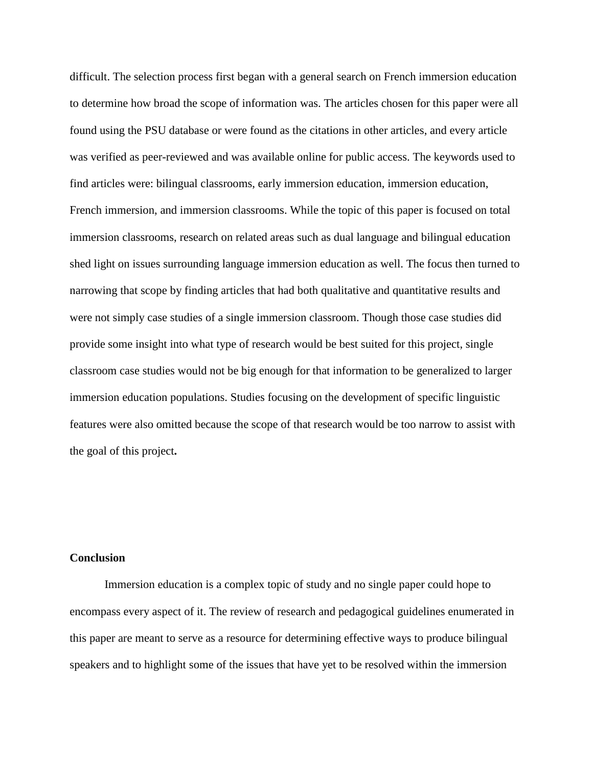difficult. The selection process first began with a general search on French immersion education to determine how broad the scope of information was. The articles chosen for this paper were all found using the PSU database or were found as the citations in other articles, and every article was verified as peer-reviewed and was available online for public access. The keywords used to find articles were: bilingual classrooms, early immersion education, immersion education, French immersion, and immersion classrooms. While the topic of this paper is focused on total immersion classrooms, research on related areas such as dual language and bilingual education shed light on issues surrounding language immersion education as well. The focus then turned to narrowing that scope by finding articles that had both qualitative and quantitative results and were not simply case studies of a single immersion classroom. Though those case studies did provide some insight into what type of research would be best suited for this project, single classroom case studies would not be big enough for that information to be generalized to larger immersion education populations. Studies focusing on the development of specific linguistic features were also omitted because the scope of that research would be too narrow to assist with the goal of this project**.**

#### **Conclusion**

Immersion education is a complex topic of study and no single paper could hope to encompass every aspect of it. The review of research and pedagogical guidelines enumerated in this paper are meant to serve as a resource for determining effective ways to produce bilingual speakers and to highlight some of the issues that have yet to be resolved within the immersion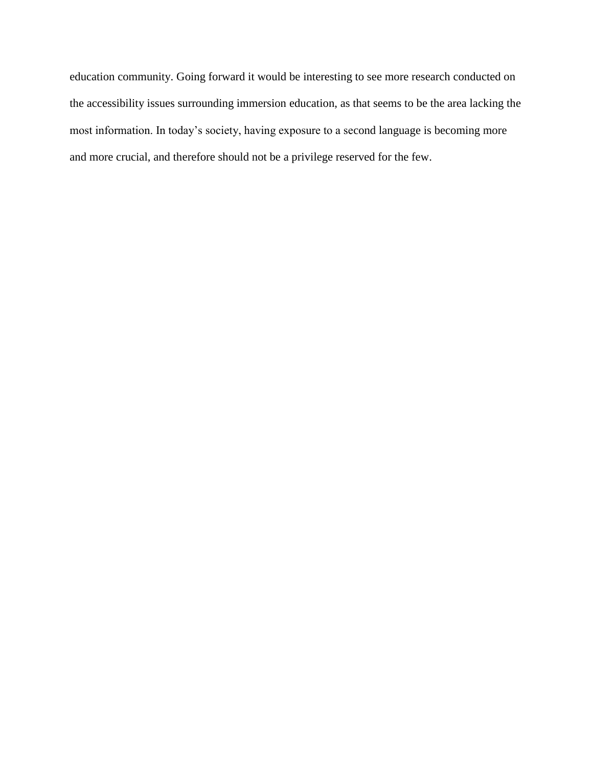education community. Going forward it would be interesting to see more research conducted on the accessibility issues surrounding immersion education, as that seems to be the area lacking the most information. In today's society, having exposure to a second language is becoming more and more crucial, and therefore should not be a privilege reserved for the few.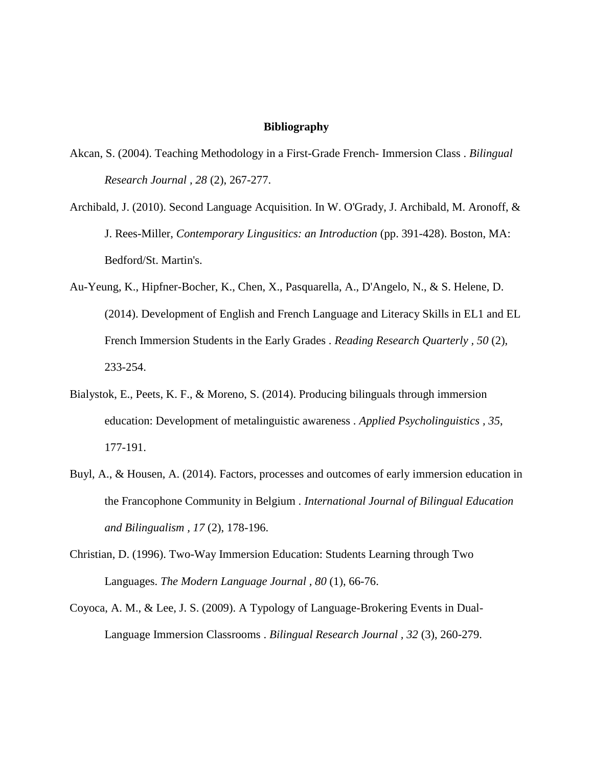#### **Bibliography**

- Akcan, S. (2004). Teaching Methodology in a First-Grade French- Immersion Class . *Bilingual Research Journal , 28* (2), 267-277.
- Archibald, J. (2010). Second Language Acquisition. In W. O'Grady, J. Archibald, M. Aronoff, & J. Rees-Miller, *Contemporary Lingusitics: an Introduction* (pp. 391-428). Boston, MA: Bedford/St. Martin's.
- Au-Yeung, K., Hipfner-Bocher, K., Chen, X., Pasquarella, A., D'Angelo, N., & S. Helene, D. (2014). Development of English and French Language and Literacy Skills in EL1 and EL French Immersion Students in the Early Grades . *Reading Research Quarterly , 50* (2), 233-254.
- Bialystok, E., Peets, K. F., & Moreno, S. (2014). Producing bilinguals through immersion education: Development of metalinguistic awareness . *Applied Psycholinguistics , 35*, 177-191.
- Buyl, A., & Housen, A. (2014). Factors, processes and outcomes of early immersion education in the Francophone Community in Belgium . *International Journal of Bilingual Education and Bilingualism , 17* (2), 178-196.
- Christian, D. (1996). Two-Way Immersion Education: Students Learning through Two Languages. *The Modern Language Journal , 80* (1), 66-76.
- Coyoca, A. M., & Lee, J. S. (2009). A Typology of Language-Brokering Events in Dual-Language Immersion Classrooms . *Bilingual Research Journal , 32* (3), 260-279.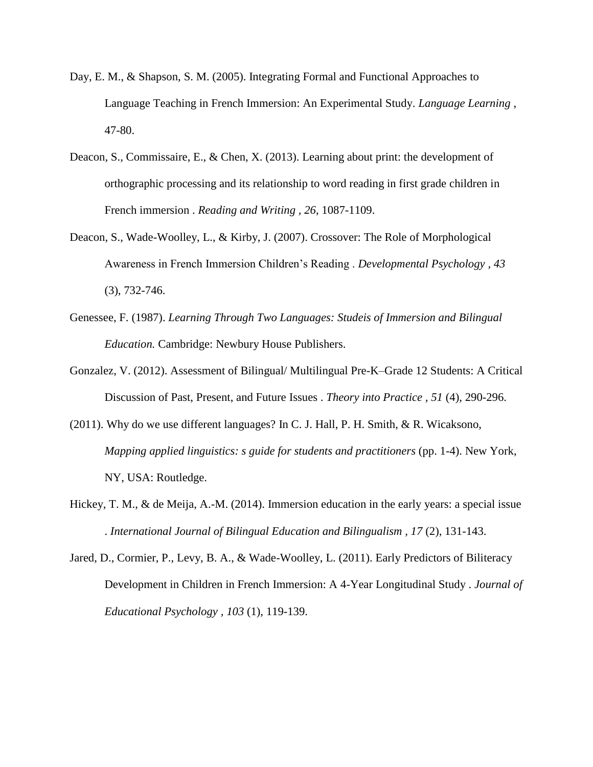- Day, E. M., & Shapson, S. M. (2005). Integrating Formal and Functional Approaches to Language Teaching in French Immersion: An Experimental Study. *Language Learning* , 47-80.
- Deacon, S., Commissaire, E., & Chen, X. (2013). Learning about print: the development of orthographic processing and its relationship to word reading in first grade children in French immersion . *Reading and Writing , 26*, 1087-1109.
- Deacon, S., Wade-Woolley, L., & Kirby, J. (2007). Crossover: The Role of Morphological Awareness in French Immersion Children's Reading . *Developmental Psychology , 43* (3), 732-746.
- Genessee, F. (1987). *Learning Through Two Languages: Studeis of Immersion and Bilingual Education.* Cambridge: Newbury House Publishers.
- Gonzalez, V. (2012). Assessment of Bilingual/ Multilingual Pre-K–Grade 12 Students: A Critical Discussion of Past, Present, and Future Issues . *Theory into Practice , 51* (4), 290-296.
- (2011). Why do we use different languages? In C. J. Hall, P. H. Smith, & R. Wicaksono, *Mapping applied linguistics: s guide for students and practitioners* (pp. 1-4). New York, NY, USA: Routledge.
- Hickey, T. M., & de Meija, A.-M. (2014). Immersion education in the early years: a special issue . *International Journal of Bilingual Education and Bilingualism , 17* (2), 131-143.
- Jared, D., Cormier, P., Levy, B. A., & Wade-Woolley, L. (2011). Early Predictors of Biliteracy Development in Children in French Immersion: A 4-Year Longitudinal Study . *Journal of Educational Psychology , 103* (1), 119-139.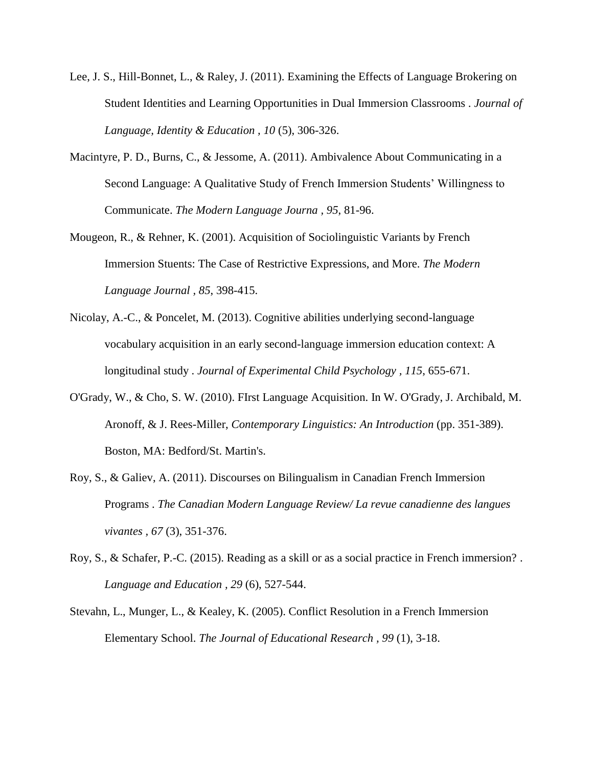- Lee, J. S., Hill-Bonnet, L., & Raley, J. (2011). Examining the Effects of Language Brokering on Student Identities and Learning Opportunities in Dual Immersion Classrooms . *Journal of Language, Identity & Education , 10* (5), 306-326.
- Macintyre, P. D., Burns, C., & Jessome, A. (2011). Ambivalence About Communicating in a Second Language: A Qualitative Study of French Immersion Students' Willingness to Communicate. *The Modern Language Journa , 95*, 81-96.
- Mougeon, R., & Rehner, K. (2001). Acquisition of Sociolinguistic Variants by French Immersion Stuents: The Case of Restrictive Expressions, and More. *The Modern Language Journal , 85*, 398-415.
- Nicolay, A.-C., & Poncelet, M. (2013). Cognitive abilities underlying second-language vocabulary acquisition in an early second-language immersion education context: A longitudinal study . *Journal of Experimental Child Psychology , 115*, 655-671.
- O'Grady, W., & Cho, S. W. (2010). FIrst Language Acquisition. In W. O'Grady, J. Archibald, M. Aronoff, & J. Rees-Miller, *Contemporary Linguistics: An Introduction* (pp. 351-389). Boston, MA: Bedford/St. Martin's.
- Roy, S., & Galiev, A. (2011). Discourses on Bilingualism in Canadian French Immersion Programs . *The Canadian Modern Language Review/ La revue canadienne des langues vivantes , 67* (3), 351-376.
- Roy, S., & Schafer, P.-C. (2015). Reading as a skill or as a social practice in French immersion? . *Language and Education , 29* (6), 527-544.
- Stevahn, L., Munger, L., & Kealey, K. (2005). Conflict Resolution in a French Immersion Elementary School. *The Journal of Educational Research , 99* (1), 3-18.